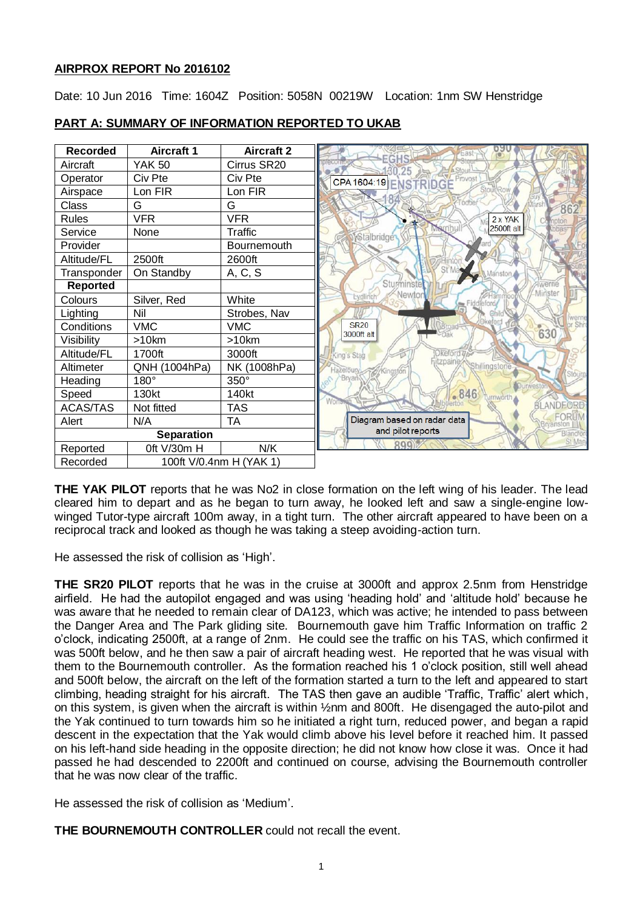## **AIRPROX REPORT No 2016102**

Date: 10 Jun 2016 Time: 1604Z Position: 5058N 00219W Location: 1nm SW Henstridge



## **PART A: SUMMARY OF INFORMATION REPORTED TO UKAB**

**THE YAK PILOT** reports that he was No2 in close formation on the left wing of his leader. The lead cleared him to depart and as he began to turn away, he looked left and saw a single-engine lowwinged Tutor-type aircraft 100m away, in a tight turn. The other aircraft appeared to have been on a reciprocal track and looked as though he was taking a steep avoiding-action turn.

He assessed the risk of collision as 'High'.

**THE SR20 PILOT** reports that he was in the cruise at 3000ft and approx 2.5nm from Henstridge airfield. He had the autopilot engaged and was using 'heading hold' and 'altitude hold' because he was aware that he needed to remain clear of DA123, which was active; he intended to pass between the Danger Area and The Park gliding site. Bournemouth gave him Traffic Information on traffic 2 o'clock, indicating 2500ft, at a range of 2nm. He could see the traffic on his TAS, which confirmed it was 500ft below, and he then saw a pair of aircraft heading west. He reported that he was visual with them to the Bournemouth controller. As the formation reached his 1 o'clock position, still well ahead and 500ft below, the aircraft on the left of the formation started a turn to the left and appeared to start climbing, heading straight for his aircraft. The TAS then gave an audible 'Traffic, Traffic' alert which, on this system, is given when the aircraft is within ½nm and 800ft. He disengaged the auto-pilot and the Yak continued to turn towards him so he initiated a right turn, reduced power, and began a rapid descent in the expectation that the Yak would climb above his level before it reached him. It passed on his left-hand side heading in the opposite direction; he did not know how close it was. Once it had passed he had descended to 2200ft and continued on course, advising the Bournemouth controller that he was now clear of the traffic.

He assessed the risk of collision as 'Medium'.

**THE BOURNEMOUTH CONTROLLER** could not recall the event.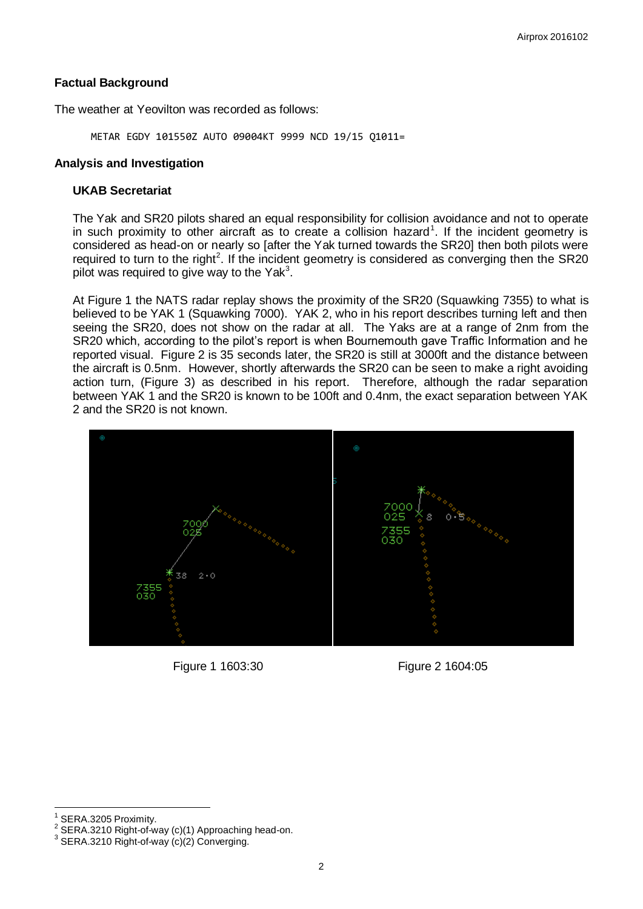### **Factual Background**

The weather at Yeovilton was recorded as follows:

METAR EGDY 101550Z AUTO 09004KT 9999 NCD 19/15 Q1011=

#### **Analysis and Investigation**

#### **UKAB Secretariat**

The Yak and SR20 pilots shared an equal responsibility for collision avoidance and not to operate in such proximity to other aircraft as to create a collision hazard<sup>1</sup>. If the incident geometry is considered as head-on or nearly so [after the Yak turned towards the SR20] then both pilots were required to turn to the right<sup>2</sup>. If the incident geometry is considered as converging then the SR20 pilot was required to give way to the Yak<sup>3</sup>.

At Figure 1 the NATS radar replay shows the proximity of the SR20 (Squawking 7355) to what is believed to be YAK 1 (Squawking 7000). YAK 2, who in his report describes turning left and then seeing the SR20, does not show on the radar at all. The Yaks are at a range of 2nm from the SR20 which, according to the pilot's report is when Bournemouth gave Traffic Information and he reported visual. Figure 2 is 35 seconds later, the SR20 is still at 3000ft and the distance between the aircraft is 0.5nm. However, shortly afterwards the SR20 can be seen to make a right avoiding action turn, (Figure 3) as described in his report. Therefore, although the radar separation between YAK 1 and the SR20 is known to be 100ft and 0.4nm, the exact separation between YAK 2 and the SR20 is not known.



Figure 1 1603:30 Figure 2 1604:05

 $\overline{\phantom{a}}$ 

<sup>1</sup> SERA.3205 Proximity.

<sup>2</sup> SERA.3210 Right-of-way (c)(1) Approaching head-on.

 $^3$  SERA.3210 Right-of-way  $\overline{\mathsf{c}}$ o $\overline{\mathsf{c}}$ 2) Converging.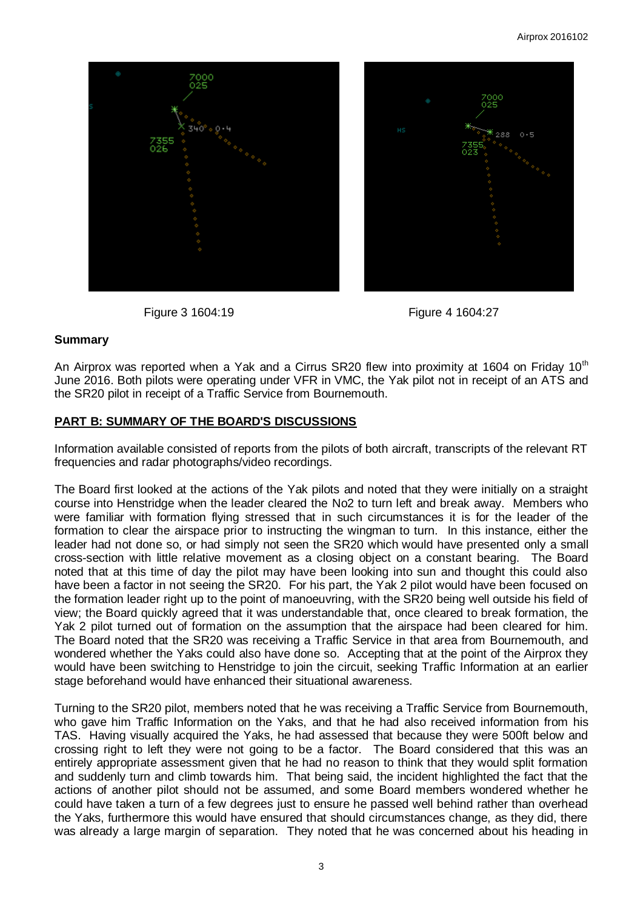



## **Summary**

An Airprox was reported when a Yak and a Cirrus SR20 flew into proximity at 1604 on Friday 10<sup>th</sup> June 2016. Both pilots were operating under VFR in VMC, the Yak pilot not in receipt of an ATS and the SR20 pilot in receipt of a Traffic Service from Bournemouth.

# **PART B: SUMMARY OF THE BOARD'S DISCUSSIONS**

Information available consisted of reports from the pilots of both aircraft, transcripts of the relevant RT frequencies and radar photographs/video recordings.

The Board first looked at the actions of the Yak pilots and noted that they were initially on a straight course into Henstridge when the leader cleared the No2 to turn left and break away. Members who were familiar with formation flying stressed that in such circumstances it is for the leader of the formation to clear the airspace prior to instructing the wingman to turn. In this instance, either the leader had not done so, or had simply not seen the SR20 which would have presented only a small cross-section with little relative movement as a closing object on a constant bearing. The Board noted that at this time of day the pilot may have been looking into sun and thought this could also have been a factor in not seeing the SR20. For his part, the Yak 2 pilot would have been focused on the formation leader right up to the point of manoeuvring, with the SR20 being well outside his field of view; the Board quickly agreed that it was understandable that, once cleared to break formation, the Yak 2 pilot turned out of formation on the assumption that the airspace had been cleared for him. The Board noted that the SR20 was receiving a Traffic Service in that area from Bournemouth, and wondered whether the Yaks could also have done so. Accepting that at the point of the Airprox they would have been switching to Henstridge to join the circuit, seeking Traffic Information at an earlier stage beforehand would have enhanced their situational awareness.

Turning to the SR20 pilot, members noted that he was receiving a Traffic Service from Bournemouth, who gave him Traffic Information on the Yaks, and that he had also received information from his TAS. Having visually acquired the Yaks, he had assessed that because they were 500ft below and crossing right to left they were not going to be a factor. The Board considered that this was an entirely appropriate assessment given that he had no reason to think that they would split formation and suddenly turn and climb towards him. That being said, the incident highlighted the fact that the actions of another pilot should not be assumed, and some Board members wondered whether he could have taken a turn of a few degrees just to ensure he passed well behind rather than overhead the Yaks, furthermore this would have ensured that should circumstances change, as they did, there was already a large margin of separation. They noted that he was concerned about his heading in